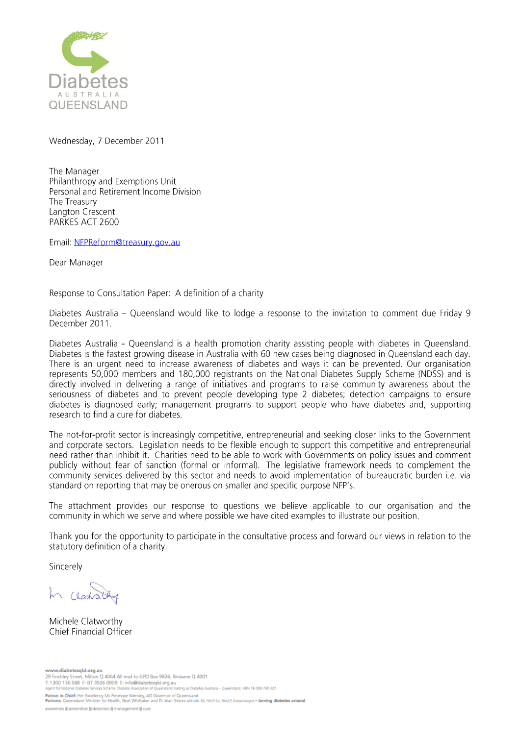

Wednesday, 7 December 2011

The Manager Philanthropy and Exemptions Unit Personal and Retirement Income Division The Treasury Langton Crescent PARKES ACT 2600

Email: NFPReform@treasury.gov.au

Dear Manager

Response to Consultation Paper: A definition of a charity

Diabetes Australia – Queensland would like to lodge a response to the invitation to comment due Friday 9 December 2011.

Diabetes Australia - Queensland is a health promotion charity assisting people with diabetes in Queensland. Diabetes is the fastest growing disease in Australia with 60 new cases being diagnosed in Queensland each day. There is an urgent need to increase awareness of diabetes and ways it can be prevented. Our organisation represents 50,000 members and 180,000 registrants on the National Diabetes Supply Scheme (NDSS) and is directly involved in delivering a range of initiatives and programs to raise community awareness about the seriousness of diabetes and to prevent people developing type 2 diabetes; detection campaigns to ensure diabetes is diagnosed early; management programs to support people who have diabetes and, supporting research to find a cure for diabetes.

The not-for-profit sector is increasingly competitive, entrepreneurial and seeking closer links to the Government and corporate sectors. Legislation needs to be flexible enough to support this competitive and entrepreneurial need rather than inhibit it. Charities need to be able to work with Governments on policy issues and comment publicly without fear of sanction (formal or informal). The legislative framework needs to complement the community services delivered by this sector and needs to avoid implementation of bureaucratic burden i.e. via standard on reporting that may be onerous on smaller and specific purpose NFP's.

The attachment provides our response to questions we believe applicable to our organisation and the community in which we serve and where possible we have cited examples to illustrate our position.

Thank you for the opportunity to participate in the consultative process and forward our views in relation to the statutory definition of a charity.

Sincerely

Michele Clatworthy Chief Financial Officer

www.diabetesqld.org.au<br>29 Finchley Street, Milton Q 4064 All mail to GPO Box 9824, Brisbane Q 4001 E. 1900 136 588 F: 07 3506 0909 E: info@diabetesgld.org.au<br>T: 1900 136 588 F: 07 3506 0909 E: info@diabetesgld.org.au<br>Agent for National Diabetes Services Scheme. Diabetic Association of Queensland trading as Diabetes Aust Patron in Chief: Her Excellency Ms Penelope Wensley, AO Governor of Queensland<br>Patrons: Queensland Minister for Health, Noel Whittaker and Dr Alan Stocks AM M8, 85, FRCP Ed, FRACP, Diabersologist - turning diabetes around

awareness @ prevention @ detection @ management @ cure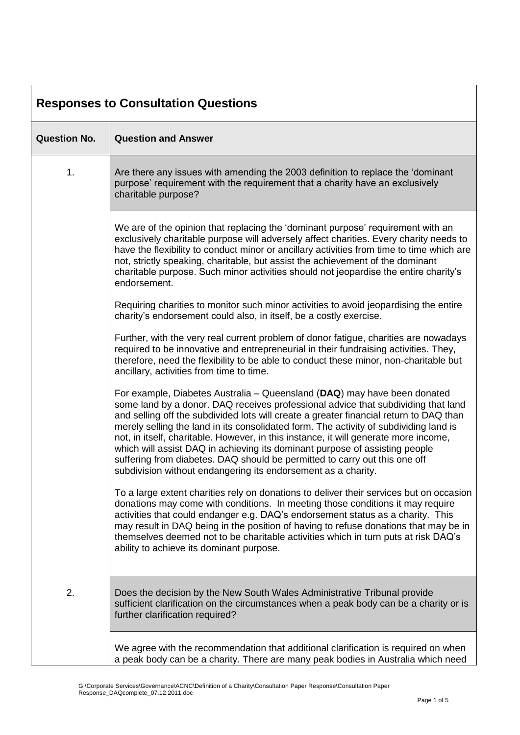| <b>Responses to Consultation Questions</b> |                                                                                                                                                                                                                                                                                                                                                                                                                                                                                                                                                                                                                                                                        |  |
|--------------------------------------------|------------------------------------------------------------------------------------------------------------------------------------------------------------------------------------------------------------------------------------------------------------------------------------------------------------------------------------------------------------------------------------------------------------------------------------------------------------------------------------------------------------------------------------------------------------------------------------------------------------------------------------------------------------------------|--|
| <b>Question No.</b>                        | <b>Question and Answer</b>                                                                                                                                                                                                                                                                                                                                                                                                                                                                                                                                                                                                                                             |  |
| 1.                                         | Are there any issues with amending the 2003 definition to replace the 'dominant<br>purpose' requirement with the requirement that a charity have an exclusively<br>charitable purpose?                                                                                                                                                                                                                                                                                                                                                                                                                                                                                 |  |
|                                            | We are of the opinion that replacing the 'dominant purpose' requirement with an<br>exclusively charitable purpose will adversely affect charities. Every charity needs to<br>have the flexibility to conduct minor or ancillary activities from time to time which are<br>not, strictly speaking, charitable, but assist the achievement of the dominant<br>charitable purpose. Such minor activities should not jeopardise the entire charity's<br>endorsement.                                                                                                                                                                                                       |  |
|                                            | Requiring charities to monitor such minor activities to avoid jeopardising the entire<br>charity's endorsement could also, in itself, be a costly exercise.                                                                                                                                                                                                                                                                                                                                                                                                                                                                                                            |  |
|                                            | Further, with the very real current problem of donor fatigue, charities are nowadays<br>required to be innovative and entrepreneurial in their fundraising activities. They,<br>therefore, need the flexibility to be able to conduct these minor, non-charitable but<br>ancillary, activities from time to time.                                                                                                                                                                                                                                                                                                                                                      |  |
|                                            | For example, Diabetes Australia – Queensland (DAQ) may have been donated<br>some land by a donor. DAQ receives professional advice that subdividing that land<br>and selling off the subdivided lots will create a greater financial return to DAQ than<br>merely selling the land in its consolidated form. The activity of subdividing land is<br>not, in itself, charitable. However, in this instance, it will generate more income,<br>which will assist DAQ in achieving its dominant purpose of assisting people<br>suffering from diabetes. DAQ should be permitted to carry out this one off<br>subdivision without endangering its endorsement as a charity. |  |
|                                            | To a large extent charities rely on donations to deliver their services but on occasion<br>donations may come with conditions. In meeting those conditions it may require<br>activities that could endanger e.g. DAQ's endorsement status as a charity. This<br>may result in DAQ being in the position of having to refuse donations that may be in<br>themselves deemed not to be charitable activities which in turn puts at risk DAQ's<br>ability to achieve its dominant purpose.                                                                                                                                                                                 |  |
| 2.                                         | Does the decision by the New South Wales Administrative Tribunal provide<br>sufficient clarification on the circumstances when a peak body can be a charity or is<br>further clarification required?                                                                                                                                                                                                                                                                                                                                                                                                                                                                   |  |
|                                            | We agree with the recommendation that additional clarification is required on when<br>a peak body can be a charity. There are many peak bodies in Australia which need                                                                                                                                                                                                                                                                                                                                                                                                                                                                                                 |  |

٦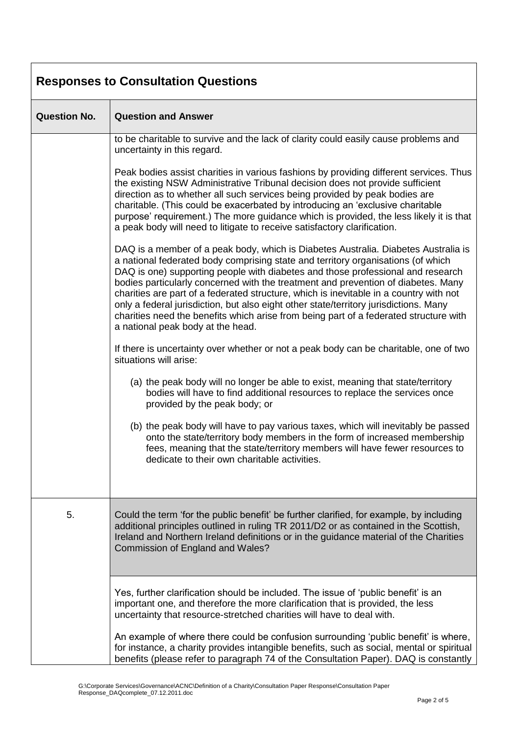| <b>Responses to Consultation Questions</b> |                                                                                                                                                                                                                                                                                                                                                                                                                                                                                                                                                                                                                                                                 |  |
|--------------------------------------------|-----------------------------------------------------------------------------------------------------------------------------------------------------------------------------------------------------------------------------------------------------------------------------------------------------------------------------------------------------------------------------------------------------------------------------------------------------------------------------------------------------------------------------------------------------------------------------------------------------------------------------------------------------------------|--|
| <b>Question No.</b>                        | <b>Question and Answer</b>                                                                                                                                                                                                                                                                                                                                                                                                                                                                                                                                                                                                                                      |  |
|                                            | to be charitable to survive and the lack of clarity could easily cause problems and<br>uncertainty in this regard.                                                                                                                                                                                                                                                                                                                                                                                                                                                                                                                                              |  |
|                                            | Peak bodies assist charities in various fashions by providing different services. Thus<br>the existing NSW Administrative Tribunal decision does not provide sufficient<br>direction as to whether all such services being provided by peak bodies are<br>charitable. (This could be exacerbated by introducing an 'exclusive charitable<br>purpose' requirement.) The more guidance which is provided, the less likely it is that<br>a peak body will need to litigate to receive satisfactory clarification.                                                                                                                                                  |  |
|                                            | DAQ is a member of a peak body, which is Diabetes Australia. Diabetes Australia is<br>a national federated body comprising state and territory organisations (of which<br>DAQ is one) supporting people with diabetes and those professional and research<br>bodies particularly concerned with the treatment and prevention of diabetes. Many<br>charities are part of a federated structure, which is inevitable in a country with not<br>only a federal jurisdiction, but also eight other state/territory jurisdictions. Many<br>charities need the benefits which arise from being part of a federated structure with<br>a national peak body at the head. |  |
|                                            | If there is uncertainty over whether or not a peak body can be charitable, one of two<br>situations will arise:                                                                                                                                                                                                                                                                                                                                                                                                                                                                                                                                                 |  |
|                                            | (a) the peak body will no longer be able to exist, meaning that state/territory<br>bodies will have to find additional resources to replace the services once<br>provided by the peak body; or                                                                                                                                                                                                                                                                                                                                                                                                                                                                  |  |
|                                            | (b) the peak body will have to pay various taxes, which will inevitably be passed<br>onto the state/territory body members in the form of increased membership<br>fees, meaning that the state/territory members will have fewer resources to<br>dedicate to their own charitable activities.                                                                                                                                                                                                                                                                                                                                                                   |  |
| 5.                                         | Could the term 'for the public benefit' be further clarified, for example, by including<br>additional principles outlined in ruling TR 2011/D2 or as contained in the Scottish,<br>Ireland and Northern Ireland definitions or in the guidance material of the Charities<br>Commission of England and Wales?                                                                                                                                                                                                                                                                                                                                                    |  |
|                                            | Yes, further clarification should be included. The issue of 'public benefit' is an<br>important one, and therefore the more clarification that is provided, the less<br>uncertainty that resource-stretched charities will have to deal with.                                                                                                                                                                                                                                                                                                                                                                                                                   |  |
|                                            | An example of where there could be confusion surrounding 'public benefit' is where,<br>for instance, a charity provides intangible benefits, such as social, mental or spiritual<br>benefits (please refer to paragraph 74 of the Consultation Paper). DAQ is constantly                                                                                                                                                                                                                                                                                                                                                                                        |  |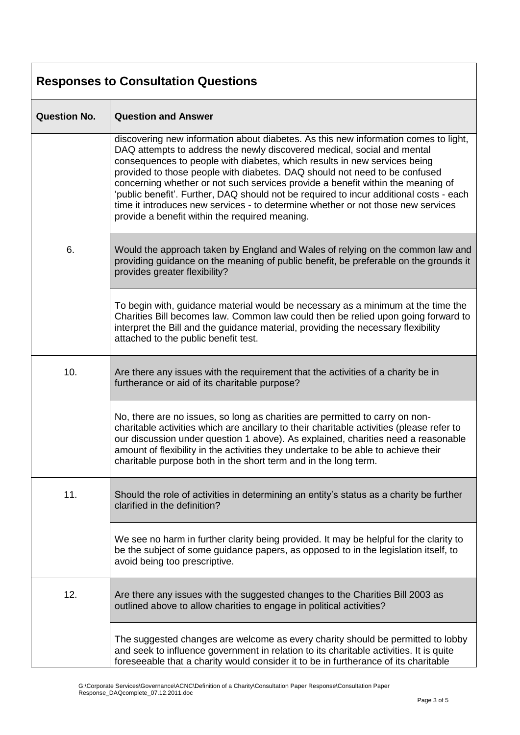| <b>Responses to Consultation Questions</b> |                                                                                                                                                                                                                                                                                                                                                                                                                                                                                                                                                                                                                                              |  |
|--------------------------------------------|----------------------------------------------------------------------------------------------------------------------------------------------------------------------------------------------------------------------------------------------------------------------------------------------------------------------------------------------------------------------------------------------------------------------------------------------------------------------------------------------------------------------------------------------------------------------------------------------------------------------------------------------|--|
| <b>Question No.</b>                        | <b>Question and Answer</b>                                                                                                                                                                                                                                                                                                                                                                                                                                                                                                                                                                                                                   |  |
|                                            | discovering new information about diabetes. As this new information comes to light,<br>DAQ attempts to address the newly discovered medical, social and mental<br>consequences to people with diabetes, which results in new services being<br>provided to those people with diabetes. DAQ should not need to be confused<br>concerning whether or not such services provide a benefit within the meaning of<br>'public benefit'. Further, DAQ should not be required to incur additional costs - each<br>time it introduces new services - to determine whether or not those new services<br>provide a benefit within the required meaning. |  |
| 6.                                         | Would the approach taken by England and Wales of relying on the common law and<br>providing guidance on the meaning of public benefit, be preferable on the grounds it<br>provides greater flexibility?                                                                                                                                                                                                                                                                                                                                                                                                                                      |  |
|                                            | To begin with, guidance material would be necessary as a minimum at the time the<br>Charities Bill becomes law. Common law could then be relied upon going forward to<br>interpret the Bill and the guidance material, providing the necessary flexibility<br>attached to the public benefit test.                                                                                                                                                                                                                                                                                                                                           |  |
| 10.                                        | Are there any issues with the requirement that the activities of a charity be in<br>furtherance or aid of its charitable purpose?                                                                                                                                                                                                                                                                                                                                                                                                                                                                                                            |  |
|                                            | No, there are no issues, so long as charities are permitted to carry on non-<br>charitable activities which are ancillary to their charitable activities (please refer to<br>our discussion under question 1 above). As explained, charities need a reasonable<br>amount of flexibility in the activities they undertake to be able to achieve their<br>charitable purpose both in the short term and in the long term.                                                                                                                                                                                                                      |  |
| 11.                                        | Should the role of activities in determining an entity's status as a charity be further<br>clarified in the definition?                                                                                                                                                                                                                                                                                                                                                                                                                                                                                                                      |  |
|                                            | We see no harm in further clarity being provided. It may be helpful for the clarity to<br>be the subject of some guidance papers, as opposed to in the legislation itself, to<br>avoid being too prescriptive.                                                                                                                                                                                                                                                                                                                                                                                                                               |  |
| 12.                                        | Are there any issues with the suggested changes to the Charities Bill 2003 as<br>outlined above to allow charities to engage in political activities?                                                                                                                                                                                                                                                                                                                                                                                                                                                                                        |  |
|                                            | The suggested changes are welcome as every charity should be permitted to lobby<br>and seek to influence government in relation to its charitable activities. It is quite<br>foreseeable that a charity would consider it to be in furtherance of its charitable                                                                                                                                                                                                                                                                                                                                                                             |  |

٦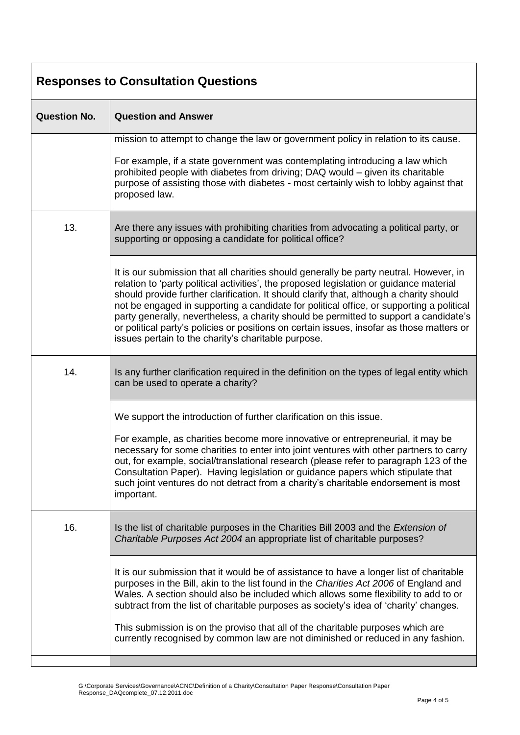| <b>Responses to Consultation Questions</b> |                                                                                                                                                                                                                                                                                                                                                                                                                                                                                                                                                                                                                       |  |
|--------------------------------------------|-----------------------------------------------------------------------------------------------------------------------------------------------------------------------------------------------------------------------------------------------------------------------------------------------------------------------------------------------------------------------------------------------------------------------------------------------------------------------------------------------------------------------------------------------------------------------------------------------------------------------|--|
| <b>Question No.</b>                        | <b>Question and Answer</b>                                                                                                                                                                                                                                                                                                                                                                                                                                                                                                                                                                                            |  |
|                                            | mission to attempt to change the law or government policy in relation to its cause.                                                                                                                                                                                                                                                                                                                                                                                                                                                                                                                                   |  |
|                                            | For example, if a state government was contemplating introducing a law which<br>prohibited people with diabetes from driving; DAQ would - given its charitable<br>purpose of assisting those with diabetes - most certainly wish to lobby against that<br>proposed law.                                                                                                                                                                                                                                                                                                                                               |  |
| 13.                                        | Are there any issues with prohibiting charities from advocating a political party, or<br>supporting or opposing a candidate for political office?                                                                                                                                                                                                                                                                                                                                                                                                                                                                     |  |
|                                            | It is our submission that all charities should generally be party neutral. However, in<br>relation to 'party political activities', the proposed legislation or guidance material<br>should provide further clarification. It should clarify that, although a charity should<br>not be engaged in supporting a candidate for political office, or supporting a political<br>party generally, nevertheless, a charity should be permitted to support a candidate's<br>or political party's policies or positions on certain issues, insofar as those matters or<br>issues pertain to the charity's charitable purpose. |  |
| 14.                                        | Is any further clarification required in the definition on the types of legal entity which<br>can be used to operate a charity?                                                                                                                                                                                                                                                                                                                                                                                                                                                                                       |  |
|                                            | We support the introduction of further clarification on this issue.<br>For example, as charities become more innovative or entrepreneurial, it may be<br>necessary for some charities to enter into joint ventures with other partners to carry<br>out, for example, social/translational research (please refer to paragraph 123 of the<br>Consultation Paper). Having legislation or guidance papers which stipulate that<br>such joint ventures do not detract from a charity's charitable endorsement is most<br>important.                                                                                       |  |
| 16.                                        | Is the list of charitable purposes in the Charities Bill 2003 and the <i>Extension of</i><br>Charitable Purposes Act 2004 an appropriate list of charitable purposes?                                                                                                                                                                                                                                                                                                                                                                                                                                                 |  |
|                                            | It is our submission that it would be of assistance to have a longer list of charitable<br>purposes in the Bill, akin to the list found in the Charities Act 2006 of England and<br>Wales. A section should also be included which allows some flexibility to add to or<br>subtract from the list of charitable purposes as society's idea of 'charity' changes.<br>This submission is on the proviso that all of the charitable purposes which are                                                                                                                                                                   |  |
|                                            | currently recognised by common law are not diminished or reduced in any fashion.                                                                                                                                                                                                                                                                                                                                                                                                                                                                                                                                      |  |